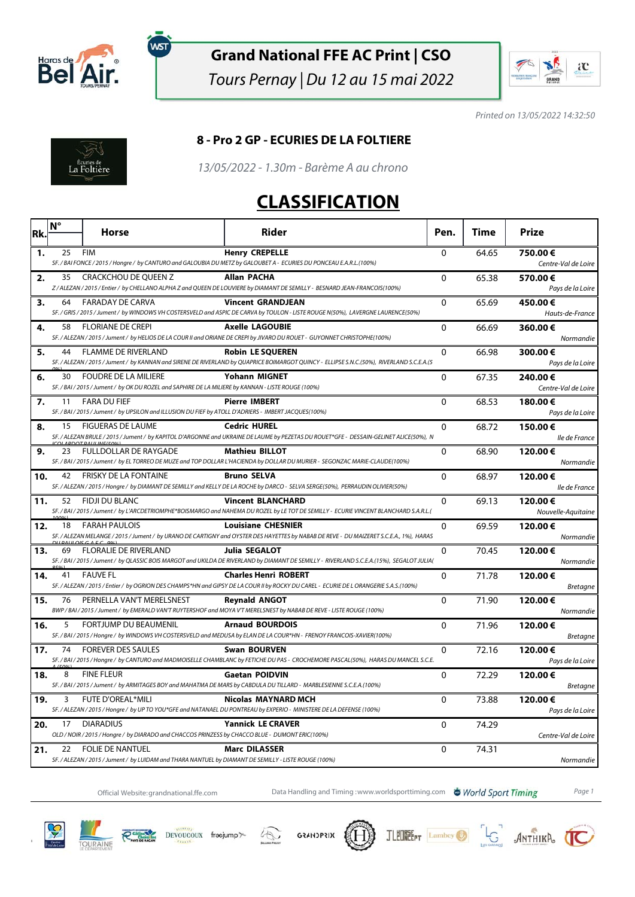

์พรา

#### **Grand National FFE AC Print | CSO**

Tours Pernay | Du 12 au 15 mai 2022



Printed on 13/05/2022 14:32:50



#### **8 - Pro 2 GP - ECURIES DE LA FOLTIERE**

13/05/2022 - 1.30m - Barème A au chrono

#### **CLASSIFICATION**

| Rk. | $N^{\circ}$ | Horse                                                                                                                              | <b>Rider</b>                                                                                                                                                         | Pen.         | Time  | Prize                          |
|-----|-------------|------------------------------------------------------------------------------------------------------------------------------------|----------------------------------------------------------------------------------------------------------------------------------------------------------------------|--------------|-------|--------------------------------|
|     |             |                                                                                                                                    |                                                                                                                                                                      |              |       |                                |
| 1.  | 25          | <b>FIM</b>                                                                                                                         | <b>Henry CREPELLE</b><br>SF. / BAI FONCE / 2015 / Hongre / by CANTURO and GALOUBIA DU METZ by GALOUBET A - ECURIES DU PONCEAU E.A.R.L.(100%)                         | $\mathbf{0}$ | 64.65 | 750.00€<br>Centre-Val de Loire |
| 2.  | 35          | CRACKCHOU DE QUEEN Z                                                                                                               | <b>Allan PACHA</b><br>Z / ALEZAN / 2015 / Entier / by CHELLANO ALPHA Z and QUEEN DE LOUVIERE by DIAMANT DE SEMILLY - BESNARD JEAN-FRANCOIS(100%)                     | 0            | 65.38 | 570.00€<br>Pays de la Loire    |
| з.  | 64          | FARADAY DE CARVA                                                                                                                   | <b>Vincent GRANDJEAN</b><br>SF. / GRIS / 2015 / Jument / by WINDOWS VH COSTERSVELD and ASPIC DE CARVA by TOULON - LISTE ROUGE N(50%), LAVERGNE LAURENCE(50%)         | $\mathbf 0$  | 65.69 | 450.00€<br>Hauts-de-France     |
| 4.  | 58          | <b>FLORIANE DE CREPI</b>                                                                                                           | <b>Axelle LAGOUBIE</b><br>SF. / ALEZAN / 2015 / Jument / by HELIOS DE LA COUR II and ORIANE DE CREPI by JIVARO DU ROUET - GUYONNET CHRISTOPHE(100%)                  | 0            | 66.69 | 360.00€<br>Normandie           |
| 5.  | 44          | <b>FLAMME DE RIVERLAND</b>                                                                                                         | <b>Robin LE SOUEREN</b><br>SF. / ALEZAN / 2015 / Jument / by KANNAN and SIRENE DE RIVERLAND by QUAPRICE BOIMARGOT QUINCY - ELLIPSE S.N.C.(50%), RIVERLAND S.C.E.A.(5 | $\mathbf{0}$ | 66.98 | 300.00€<br>Pays de la Loire    |
| 6.  | 30          | <b>FOUDRE DE LA MILIERE</b><br>SF. / BAI / 2015 / Jument / by OK DU ROZEL and SAPHIRE DE LA MILIERE by KANNAN - LISTE ROUGE (100%) | <b>Yohann MIGNET</b>                                                                                                                                                 | $\Omega$     | 67.35 | 240.00€<br>Centre-Val de Loire |
| 7.  | 11          | <b>FARA DU FIEF</b><br>SF./BAI/2015/Jument/ by UPSILON and ILLUSION DU FIEF by ATOLL D'ADRIERS - IMBERT JACQUES(100%)              | <b>Pierre IMBERT</b>                                                                                                                                                 | 0            | 68.53 | 180.00€<br>Pays de la Loire    |
| 8.  | 15          | <b>FIGUERAS DE LAUME</b>                                                                                                           | <b>Cedric HUREL</b><br>SF. / ALEZAN BRULE / 2015 / Jument / by KAPITOL D'ARGONNE and UKRAINE DE LAUME by PEZETAS DU ROUET*GFE - DESSAIN-GELINET ALICE(50%), N        | $\Omega$     | 68.72 | 150.00€<br>lle de France       |
| 9.  | 23          | <b>FULLDOLLAR DE RAYGADE</b>                                                                                                       | <b>Mathieu BILLOT</b><br>SF. / BAI / 2015 / Jument / by EL TORREO DE MUZE and TOP DOLLAR L'HACIENDA by DOLLAR DU MURIER - SEGONZAC MARIE-CLAUDE(100%)                | $\mathbf{0}$ | 68.90 | 120.00€<br>Normandie           |
| 10. | 42          | FRISKY DE LA FONTAINE                                                                                                              | <b>Bruno SELVA</b><br>SF. / ALEZAN / 2015 / Hongre / by DIAMANT DE SEMILLY and KELLY DE LA ROCHE by DARCO - SELVA SERGE(50%), PERRAUDIN OLIVIER(50%)                 | $\Omega$     | 68.97 | 120.00€<br>lle de France       |
| 11. | 52          | <b>FIDJI DU BLANC</b>                                                                                                              | <b>Vincent BLANCHARD</b><br>SF. / BAI / 2015 / Jument / by L'ARCDETRIOMPHE*BOISMARGO and NAHEMA DU ROZEL by LE TOT DE SEMILLY - ECURIE VINCENT BLANCHARD S.A.R.L.(   | 0            | 69.13 | 120.00€<br>Nouvelle-Aquitaine  |
| 12. | 18          | <b>FARAH PAULOIS</b>                                                                                                               | <b>Louisiane CHESNIER</b><br>SF. / ALEZAN MELANGE / 2015 / Jument / by URANO DE CARTIGNY and OYSTER DES HAYETTES by NABAB DE REVE - DU MAIZERET S.C.E.A., 1%), HARAS | 0            | 69.59 | 120.00€<br>Normandie           |
| 13. | 69          | FLORALIE DE RIVERLAND                                                                                                              | <b>Julia SEGALOT</b><br>SF. / BAI / 2015 / Jument / by QLASSIC BOIS MARGOT and UKILDA DE RIVERLAND by DIAMANT DE SEMILLY - RIVERLAND S.C.E.A.(15%), SEGALOT JULIA(   | $\Omega$     | 70.45 | 120.00€<br>Normandie           |
| 14. | 41          | <b>FAUVE FL</b>                                                                                                                    | <b>Charles Henri ROBERT</b><br>SF. / ALEZAN / 2015 / Entier / by OGRION DES CHAMPS*HN and GIPSY DE LA COUR II by ROCKY DU CAREL - ECURIE DE L ORANGERIE S.A.S.(100%) | $\mathbf{0}$ | 71.78 | 120.00€<br><b>Bretagne</b>     |
| 15. | 76          | PERNELLA VAN'T MERELSNEST                                                                                                          | <b>Reynald ANGOT</b><br>BWP / BAI / 2015 / Jument / by EMERALD VAN'T RUYTERSHOF and MOYA V'T MERELSNEST by NABAB DE REVE - LISTE ROUGE (100%)                        | 0            | 71.90 | 120.00€<br>Normandie           |
| 16. | 5           | <b>FORTJUMP DU BEAUMENIL</b>                                                                                                       | <b>Arnaud BOURDOIS</b><br>SF. / BAI / 2015 / Hongre / by WINDOWS VH COSTERSVELD and MEDUSA by ELAN DE LA COUR*HN - FRENOY FRANCOIS-XAVIER(100%)                      | $\Omega$     | 71.96 | 120.00€<br><b>Bretagne</b>     |
| 17. | 74          | <b>FOREVER DES SAULES</b>                                                                                                          | <b>Swan BOURVEN</b><br>SF. / BAI / 2015 / Hongre / by CANTURO and MADMOISELLE CHAMBLANC by FETICHE DU PAS - CROCHEMORE PASCAL(50%), HARAS DU MANCEL S.C.E.           | $\Omega$     | 72.16 | 120.00€<br>Pays de la Loire    |
| 18. | 8           | <b>FINE FLEUR</b>                                                                                                                  | <b>Gaetan POIDVIN</b><br>SF. / BAI / 2015 / Jument / by ARMITAGES BOY and MAHATMA DE MARS by CABDULA DU TILLARD - MARBLESIENNE S.C.E.A.(100%)                        | 0            | 72.29 | 120.00€<br><b>Bretagne</b>     |
| 19. | 3           | <b>FUTE D'OREAL*MILI</b>                                                                                                           | <b>Nicolas MAYNARD MCH</b><br>SF. / ALEZAN / 2015 / Hongre / by UP TO YOU*GFE and NATANAEL DU PONTREAU by EXPERIO - MINISTERE DE LA DEFENSE (100%)                   | 0            | 73.88 | 120.00€<br>Pays de la Loire    |
| 20. | 17          | <b>DIARADIUS</b><br>OLD / NOIR / 2015 / Hongre / by DIARADO and CHACCOS PRINZESS by CHACCO BLUE - DUMONT ERIC(100%)                | <b>Yannick LE CRAVER</b>                                                                                                                                             | 0            | 74.29 | Centre-Val de Loire            |
| 21. | 22          | <b>FOLIE DE NANTUEL</b><br>SF./ALEZAN/2015/Jument/ by LUIDAM and THARA NANTUEL by DIAMANT DE SEMILLY - LISTE ROUGE (100%)          | <b>Marc DILASSER</b>                                                                                                                                                 | $\Omega$     | 74.31 | Normandie                      |

Official Website:grandnational.ffe.com Data Handling and Timing :www.worldsporttiming.com **& World Sport Timing** Page 1













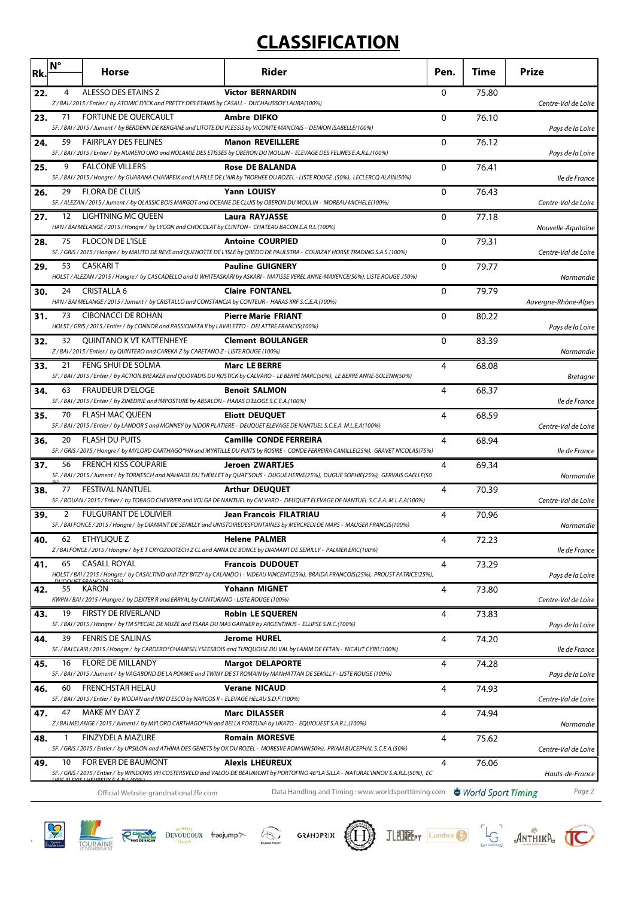# **CLASSIFICATION**

| Rk. | $N^{\circ}$ | Horse                                                                                                                                          | <b>Rider</b>                                                                                                                                                           | Pen.         | Time               | <b>Prize</b>         |
|-----|-------------|------------------------------------------------------------------------------------------------------------------------------------------------|------------------------------------------------------------------------------------------------------------------------------------------------------------------------|--------------|--------------------|----------------------|
| 22. | 4           | ALESSO DES ETAINS Z<br>Z/BAI/2015/Entier/ by ATOMIC D'ICK and PRETTY DES ETAINS by CASALL - DUCHAUSSOY LAURA(100%)                             | <b>Victor BERNARDIN</b>                                                                                                                                                | $\Omega$     | 75.80              | Centre-Val de Loire  |
| 23. | 71          | FORTUNE DE QUERCAULT                                                                                                                           | <b>Ambre DIFKO</b><br>SF. / BAI / 2015 / Jument / by BERDENN DE KERGANE and LITOTE DU PLESSIS by VICOMTE MANCIAIS - DEMION ISABELLE(100%)                              | $\Omega$     | 76.10              | Pays de la Loire     |
| 24. | 59          | <b>FAIRPLAY DES FELINES</b>                                                                                                                    | <b>Manon REVEILLERE</b><br>SF. / BAI / 2015 / Entier / by NUMERO UNO and NOLAMIE DES ETISSES by OBERON DU MOULIN - ELEVAGE DES FELINES E.A.R.L. (100%)                 | 0            | 76.12              | Pays de la Loire     |
| 25. | 9           | <b>FALCONE VILLERS</b>                                                                                                                         | <b>Rose DE BALANDA</b><br>SF. / BAI / 2015 / Hongre / by GUARANA CHAMPEIX and LA FILLE DE L'AIR by TROPHEE DU ROZEL - LISTE ROUGE .(50%), LECLERCQ ALAIN(50%)          | $\mathbf{0}$ | 76.41              | lle de France        |
| 26. | 29          | FLORA DE CLUIS                                                                                                                                 | <b>Yann LOUISY</b><br>SF. / ALEZAN / 2015 / Jument / by QLASSIC BOIS MARGOT and OCEANE DE CLUIS by OBERON DU MOULIN - MOREAU MICHELE(100%)                             | 0            | 76.43              | Centre-Val de Loire  |
| 27. |             | 12 LIGHTNING MC QUEEN<br>HAN / BAI MELANGE / 2015 / Hongre / by LYCON and CHOCOLAT by CLINTON - CHATEAU BACON E.A.R.L.(100%)                   | Laura RAYJASSE                                                                                                                                                         | 0            | 77.18              | Nouvelle-Aquitaine   |
| 28. | 75          | <b>FLOCON DE L'ISLE</b>                                                                                                                        | <b>Antoine COURPIED</b><br>SF. / GRIS / 2015 / Hongre / by MALITO DE REVE and QUENOTTE DE L'ISLE by QREDO DE PAULSTRA - COURZAY HORSE TRADING S.A.S.(100%)             | $\mathbf 0$  | 79.31              | Centre-Val de Loire  |
| 29. | 53          | <b>CASKARIT</b>                                                                                                                                | <b>Pauline GUIGNERY</b><br>HOLST / ALEZAN / 2015 / Hongre / by CASCADELLO and U WHITEASKARI by ASKARI - MATISSE VEREL ANNE-MAXENCE(50%), LISTE ROUGE .(50%)            | $\mathbf{0}$ | 79.77              | Normandie            |
| 30. | 24          | CRISTALLA 6<br>HAN / BAI MELANGE / 2015 / Jument / by CRISTALLO and CONSTANCIA by CONTEUR - HARAS KRF S.C.E.A.(100%)                           | <b>Claire FONTANEL</b>                                                                                                                                                 | 0            | 79.79              | Auvergne-Rhône-Alpes |
| 31. | 73          | <b>CIBONACCI DE ROHAN</b><br>HOLST/GRIS/2015/Entier/ by CONNOR and PASSIONATA II by LAVALETTO - DELATTRE FRANCIS(100%)                         | <b>Pierre Marie FRIANT</b>                                                                                                                                             | 0            | 80.22              | Pays de la Loire     |
| 32. | 32          | <b>QUINTANO K VT KATTENHEYE</b><br>Z/BAI/2015/Entier/ by QUINTERO and CAREKA Z by CARETANO Z - LISTE ROUGE (100%)                              | <b>Clement BOULANGER</b>                                                                                                                                               | 0            | 83.39              | Normandie            |
| 33. | 21          | FENG SHUI DE SOLMA                                                                                                                             | <b>Marc LE BERRE</b><br>SF. / BAI / 2015 / Entier / by ACTION BREAKER and QUOVADIS DU RUSTICK by CALVARO - LE BERRE MARC(50%), LE BERRE ANNE-SOLENN(50%)               | 4            | 68.08              | <b>Bretagne</b>      |
| 34. | 63          | <b>FRAUDEUR D'ELOGE</b><br>SF./BAI/2015/Entier/ by ZINEDINE and IMPOSTURE by ABSALON - HARAS D'ELOGE S.C.E.A.(100%)                            | <b>Benoit SALMON</b>                                                                                                                                                   | 4            | 68.37              | lle de France        |
| 35. | 70          | FLASH MAC QUEEN                                                                                                                                | <b>Eliott DEUQUET</b><br>SF. / BAI / 2015 / Entier / by LANDOR S and MONNEY by NIDOR PLATIERE - DEUQUET ELEVAGE DE NANTUEL S.C.E.A. M.L.E.A(100%)                      | 4            | 68.59              | Centre-Val de Loire  |
| 36. | 20          | <b>FLASH DU PUITS</b>                                                                                                                          | <b>Camille CONDE FERREIRA</b><br>SF. / GRIS / 2015 / Hongre / by MYLORD CARTHAGO*HN and MYRTILLE DU PUITS by ROSIRE - CONDE FERREIRA CAMILLE(25%), GRAVET NICOLAS(75%) | 4            | 68.94              | lle de France        |
| 37. | 56          | <b>FRENCH KISS COUPARIE</b>                                                                                                                    | <b>Jeroen ZWARTJES</b><br>SF. / BAI / 2015 / Jument / by TORNESCH and NAHIADE DU THEILLET by QUAT'SOUS - DUGUE HERVE(25%), DUGUE SOPHIE(25%), GERVAIS GAELLE(50        | 4            | 69.34              | Normandie            |
| 38. | 77          | <b>FESTIVAL NANTUEL</b>                                                                                                                        | <b>Arthur DEUQUET</b><br>SF. / ROUAN / 2015 / Entier / by TOBAGO CHEVRIER and VOLGA DE NANTUEL by CALVARO - DEUQUET ELEVAGE DE NANTUEL S.C.E.A. M.L.E.A(100%)          | 4            | 70.39              | Centre-Val de Loire  |
| 39. | 2           | <b>FULGURANT DE LOLIVIER</b>                                                                                                                   | <b>Jean Francois FILATRIAU</b><br>SF. / BAI FONCE / 2015 / Hongre / by DIAMANT DE SEMILLY and UNISTOIREDESFONTAINES by MERCREDI DE MARS - MAUGER FRANCIS(100%)         | 4            | 70.96              | Normandie            |
| 40. | 62          | ETHYLIQUE Z                                                                                                                                    | Helene PALMER<br>Z/BAIFONCE/2015/Hongre/ by ET CRYOZOOTECH Z CL and ANNA DE BONCE by DIAMANT DE SEMILLY - PALMER ERIC(100%)                                            | 4            | 72.23              | lle de France        |
| 41. | 65          | <b>CASALL ROYAL</b>                                                                                                                            | <b>Francois DUDOUET</b><br>HOLST/BAI/2015/Hongre/ by CASALTINO and ITZY BITZY by CALANDO I - VIDEAU VINCENT(25%), BRAIDA FRANCOIS(25%), PROUST PATRICE(25%),           | 4            | 73.29              | Pays de la Loire     |
| 42. | 55          | KARON<br>KWPN / BAI / 2015 / Hongre / by DEXTER R and ERRYAL by CANTURANO - LISTE ROUGE (100%)                                                 | <b>Yohann MIGNET</b>                                                                                                                                                   | 4            | 73.80              | Centre-Val de Loire  |
| 43. | 19          | <b>FIRSTY DE RIVERLAND</b><br>SF. / BAI / 2015 / Hongre / by I'M SPECIAL DE MUZE and TSARA DU MAS GARNIER by ARGENTINUS - ELLIPSE S.N.C.(100%) | Robin LE SQUEREN                                                                                                                                                       | 4            | 73.83              | Pays de la Loire     |
| 44. | 39          | <b>FENRIS DE SALINAS</b>                                                                                                                       | <b>Jerome HUREL</b><br>SF. / BAI CLAIR / 2015 / Hongre / by CARDERO*CHAMPSELYSEESBOIS and TURQUOISE DU VAL by LAMM DE FETAN - NICAUT CYRIL(100%)                       | 4            | 74.20              | lle de France        |
| 45. | 16          | <b>FLORE DE MILLANDY</b>                                                                                                                       | <b>Margot DELAPORTE</b><br>SF. / BAI / 2015 / Jument / by VAGABOND DE LA POMME and TWINY DE ST ROMAIN by MANHATTAN DE SEMILLY - LISTE ROUGE (100%)                     | 4            | 74.28              | Pays de la Loire     |
| 46. | 60          | <b>FRENCHSTAR HELAU</b><br>SF./BAI/2015/Entier/ by WODAN and KIKI D'ESCO by NARCOS II - ELEVAGE HELAU S.D.F.(100%)                             | <b>Verane NICAUD</b>                                                                                                                                                   | 4            | 74.93              | Centre-Val de Loire  |
| 47. | 47          | MAKE MY DAY Z                                                                                                                                  | <b>Marc DILASSER</b><br>Z / BAI MELANGE / 2015 / Jument / by MYLORD CARTHAGO*HN and BELLA FORTUNA by UKATO - EQUIOUEST S.A.R.L.(100%)                                  | 4            | 74.94              | Normandie            |
| 48. |             | <b>FINZYDELA MAZURE</b>                                                                                                                        | <b>Romain MORESVE</b><br>SF. / GRIS / 2015 / Entier / by UPSILON and ATHINA DES GENETS by OK DU ROZEL - MORESVE ROMAIN(50%), PRIAM BUCEPHAL S.C.E.A.(50%)              | 4            | 75.62              | Centre-Val de Loire  |
| 49. | 10          | FOR EVER DE BAUMONT                                                                                                                            | <b>Alexis LHEUREUX</b><br>SF. / GRIS / 2015 / Entier / by WINDOWS VH COSTERSVELD and VALOU DE BEAUMONT by PORTOFINO 46*LA SILLA - NATURAL'INNOV S.A.R.L.(50%), EC      | 4            | 76.06              | Hauts-de-France      |
|     |             | Official Website: grandnational.ffe.com                                                                                                        | Data Handling and Timing: www.worldsporttiming.com                                                                                                                     |              | World Sport Timing | Page 2               |











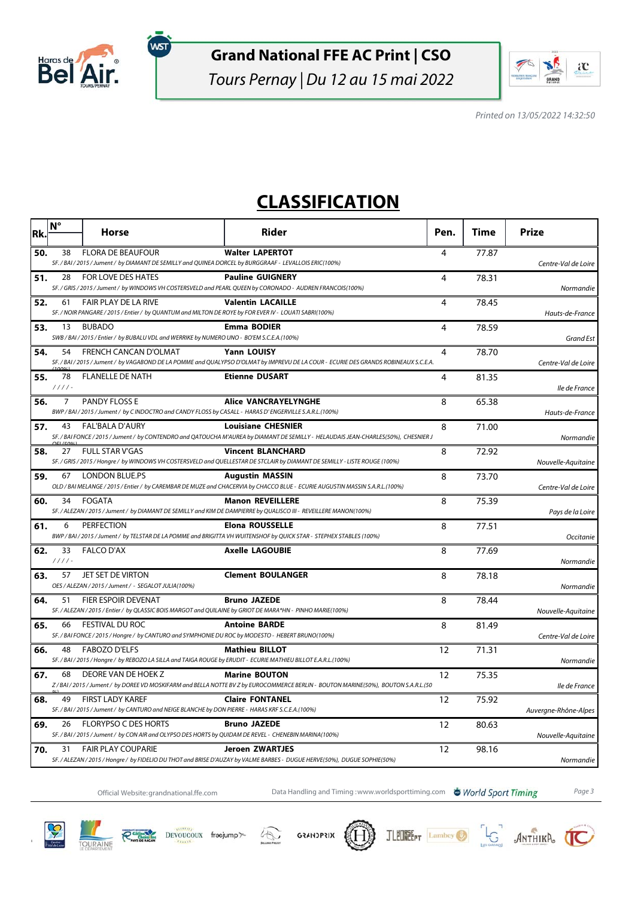

ัพรา

### **Grand National FFE AC Print | CSO**

Tours Pernay | Du 12 au 15 mai 2022



Printed on 13/05/2022 14:32:50

## **CLASSIFICATION**

| Rk. | N°             | <b>Horse</b>                                                                                                                            | Rider                                                                                                                                                            | Pen.           | Time  | <b>Prize</b>         |
|-----|----------------|-----------------------------------------------------------------------------------------------------------------------------------------|------------------------------------------------------------------------------------------------------------------------------------------------------------------|----------------|-------|----------------------|
| 50. | 38             | <b>FLORA DE BEAUFOUR</b><br>SF. / BAI / 2015 / Jument / by DIAMANT DE SEMILLY and QUINEA DORCEL by BURGGRAAF - LEVALLOIS ERIC(100%)     | <b>Walter LAPERTOT</b>                                                                                                                                           | $\overline{4}$ | 77.87 | Centre-Val de Loire  |
| 51. | 28             | <b>FOR LOVE DES HATES</b><br>SF. / GRIS / 2015 / Jument / by WINDOWS VH COSTERSVELD and PEARL QUEEN by CORONADO - AUDREN FRANCOIS(100%) | <b>Pauline GUIGNERY</b>                                                                                                                                          | 4              | 78.31 | Normandie            |
| 52. | 61             | <b>FAIR PLAY DE LA RIVE</b><br>SF. / NOIR PANGARE / 2015 / Entier / by QUANTUM and MILTON DE ROYE by FOR EVER IV - LOUATI SABRI(100%)   | <b>Valentin LACAILLE</b>                                                                                                                                         | 4              | 78.45 | Hauts-de-France      |
| 53. | 13             | <b>BUBADO</b><br>SWB / BAI / 2015 / Entier / by BUBALU VDL and WERRIKE by NUMERO UNO - BO'EM S.C.E.A.(100%)                             | <b>Emma BODIER</b>                                                                                                                                               | $\overline{4}$ | 78.59 | <b>Grand Est</b>     |
| 54. | 54             | <b>FRENCH CANCAN D'OLMAT</b>                                                                                                            | Yann LOUISY<br>SF. / BAI / 2015 / Jument / by VAGABOND DE LA POMME and QUALYPSO D'OLMAT by IMPREVU DE LA COUR - ECURIE DES GRANDS ROBINEAUX S.C.E.A.             | 4              | 78.70 | Centre-Val de Loire  |
| 55. | 78<br>$1111 -$ | <b>FLANELLE DE NATH</b>                                                                                                                 | <b>Etienne DUSART</b>                                                                                                                                            | 4              | 81.35 | lle de France        |
| 56. | 7              | <b>PANDY FLOSS E</b><br>BWP/BAI/2015/Jument/ by C INDOCTRO and CANDY FLOSS by CASALL - HARAS D'ENGERVILLE S.A.R.L.(100%)                | <b>Alice VANCRAYELYNGHE</b>                                                                                                                                      | 8              | 65.38 | Hauts-de-France      |
| 57. | 43             | FAL'BALA D'AURY                                                                                                                         | <b>Louisiane CHESNIER</b><br>SF. / BAI FONCE / 2015 / Jument / by CONTENDRO and QATOUCHA M'AUREA by DIAMANT DE SEMILLY - HELAUDAIS JEAN-CHARLES(50%), CHESNIER J | 8              | 71.00 | Normandie            |
| 58. | 27             | <b>FULL STAR V'GAS</b>                                                                                                                  | <b>Vincent BLANCHARD</b><br>SF. / GRIS / 2015 / Hongre / by WINDOWS VH COSTERSVELD and QUELLESTAR DE STCLAIR by DIAMANT DE SEMILLY - LISTE ROUGE (100%)          | 8              | 72.92 | Nouvelle-Aquitaine   |
| 59. |                | 67 LONDON BLUE.PS                                                                                                                       | <b>Augustin MASSIN</b><br>OLD / BAI MELANGE / 2015 / Entier / by CAREMBAR DE MUZE and CHACERVIA by CHACCO BLUE - ECURIE AUGUSTIN MASSIN S.A.R.L.(100%)           | 8              | 73.70 | Centre-Val de Loire  |
| 60. | 34             | <b>FOGATA</b>                                                                                                                           | <b>Manon REVEILLERE</b><br>SF. / ALEZAN / 2015 / Jument / by DIAMANT DE SEMILLY and KIM DE DAMPIERRE by QUALISCO III - REVEILLERE MANON(100%)                    | 8              | 75.39 | Pays de la Loire     |
| 61. | 6              | <b>PERFECTION</b>                                                                                                                       | <b>Elona ROUSSELLE</b><br>BWP/BAI/2015/Jument/ by TELSTAR DE LA POMME and BRIGITTA VH WUITENSHOF by QUICK STAR - STEPHEX STABLES (100%)                          | 8              | 77.51 | Occitanie            |
| 62. | 33<br>$1111 -$ | <b>FALCO D'AX</b>                                                                                                                       | <b>Axelle LAGOUBIE</b>                                                                                                                                           | 8              | 77.69 | Normandie            |
| 63. | 57             | <b>JET SET DE VIRTON</b><br>OES / ALEZAN / 2015 / Jument / - SEGALOT JULIA(100%)                                                        | <b>Clement BOULANGER</b>                                                                                                                                         | 8              | 78.18 | Normandie            |
| 64. | 51             | FIER ESPOIR DEVENAT<br>SF. / ALEZAN / 2015 / Entier / by QLASSIC BOIS MARGOT and QUILAINE by GRIOT DE MARA*HN - PINHO MARIE(100%)       | <b>Bruno JAZEDE</b>                                                                                                                                              | 8              | 78.44 | Nouvelle-Aquitaine   |
| 65. | 66             | FESTIVAL DU ROC<br>SF./BAI FONCE/2015/Hongre/by CANTURO and SYMPHONIE DU ROC by MODESTO - HEBERT BRUNO(100%)                            | <b>Antoine BARDE</b>                                                                                                                                             | 8              | 81.49 | Centre-Val de Loire  |
| 66. | 48             | <b>FABOZO D'ELFS</b><br>SF. / BAI / 2015 / Hongre / by REBOZO LA SILLA and TAIGA ROUGE by ERUDIT - ECURIE MATHIEU BILLOT E.A.R.L.(100%) | <b>Mathieu BILLOT</b>                                                                                                                                            | 12             | 71.31 | Normandie            |
| 67. | 68             | DEORE VAN DE HOEK Z                                                                                                                     | <b>Marine BOUTON</b><br>Z/BAI/2015/Jument/ by DOREE VD MOSKIFARM and BELLA NOTTE BV Z by EUROCOMMERCE BERLIN - BOUTON MARINE(50%), BOUTON S.A.R.L.(50            | 12             | 75.35 | lle de France        |
| 68. | 49             | <b>FIRST LADY KAREF</b><br>SF. / BAI / 2015 / Jument / by CANTURO and NEIGE BLANCHE by DON PIERRE - HARAS KRF S.C.E.A.(100%)            | <b>Claire FONTANEL</b>                                                                                                                                           | 12             | 75.92 | Auvergne-Rhône-Alpes |
| 69. | 26             | <b>FLORYPSO C DES HORTS</b><br>SF. / BAI / 2015 / Jument / by CON AIR and OLYPSO DES HORTS by QUIDAM DE REVEL - CHENEBIN MARINA(100%)   | <b>Bruno JAZEDE</b>                                                                                                                                              | 12             | 80.63 | Nouvelle-Aquitaine   |
| 70. | 31             | <b>FAIR PLAY COUPARIE</b>                                                                                                               | <b>Jeroen ZWARTJES</b><br>SF. / ALEZAN / 2015 / Hongre / by FIDELIO DU THOT and BRISE D'AUZAY by VALME BARBES - DUGUE HERVE(50%), DUGUE SOPHIE(50%)              | 12             | 98.16 | Normandie            |

Official Website:grandnational.ffe.com Data Handling and Timing :www.worldsporttiming.com **& World Sport Timing** Page 3

JLEUNE PT Lambey

LG ANTHIKA CO







谷